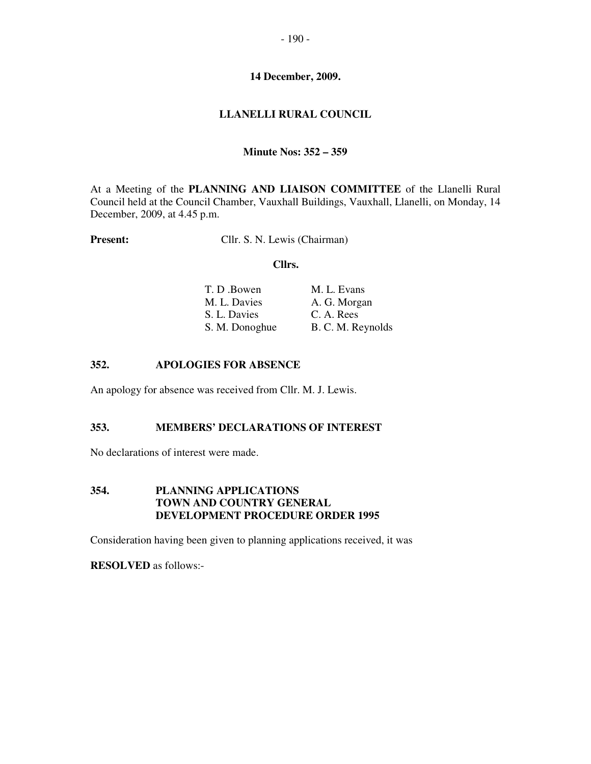### - 190 -

### **14 December, 2009.**

# **LLANELLI RURAL COUNCIL**

### **Minute Nos: 352 – 359**

At a Meeting of the **PLANNING AND LIAISON COMMITTEE** of the Llanelli Rural Council held at the Council Chamber, Vauxhall Buildings, Vauxhall, Llanelli, on Monday, 14 December, 2009, at 4.45 p.m.

**Present:** Cllr. S. N. Lewis (Chairman)

### **Cllrs.**

| M. L. Evans       |
|-------------------|
| A. G. Morgan      |
| C. A. Rees        |
| B. C. M. Reynolds |
|                   |

### **352. APOLOGIES FOR ABSENCE**

An apology for absence was received from Cllr. M. J. Lewis.

### **353. MEMBERS' DECLARATIONS OF INTEREST**

No declarations of interest were made.

### **354. PLANNING APPLICATIONS TOWN AND COUNTRY GENERAL DEVELOPMENT PROCEDURE ORDER 1995**

Consideration having been given to planning applications received, it was

**RESOLVED** as follows:-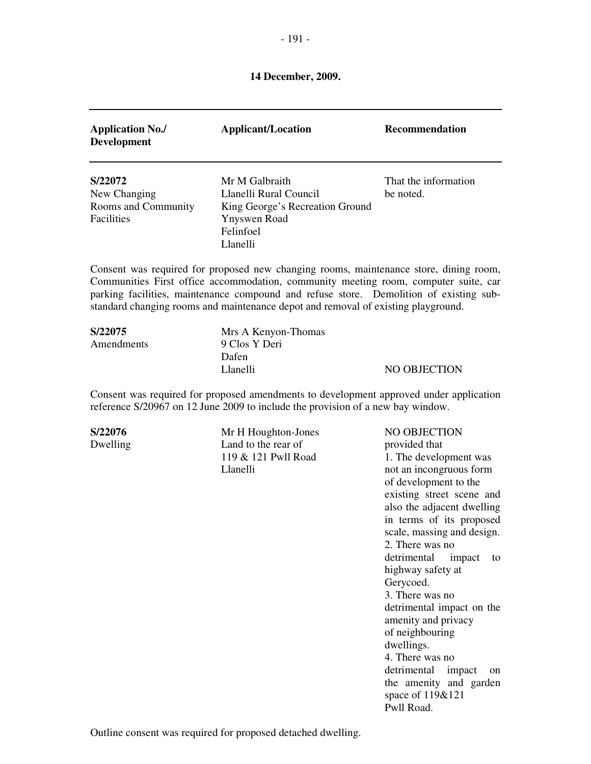| <b>Application No./</b><br><b>Development</b>                                                                                                                                | <b>Applicant/Location</b>                                                                                                   | <b>Recommendation</b>             |  |  |
|------------------------------------------------------------------------------------------------------------------------------------------------------------------------------|-----------------------------------------------------------------------------------------------------------------------------|-----------------------------------|--|--|
| S/22072<br>New Changing<br>Rooms and Community<br><b>Facilities</b>                                                                                                          | Mr M Galbraith<br>Llanelli Rural Council<br>King George's Recreation Ground<br><b>Ynyswen Road</b><br>Felinfoel<br>Llanelli | That the information<br>be noted. |  |  |
| Consent was required for proposed new changing rooms, maintenance store, dining room,<br>Communities First office accommodation, community meeting room, computer suite, car |                                                                                                                             |                                   |  |  |

Communities First office accommodation, community meeting room, computer suite, car parking facilities, maintenance compound and refuse store. Demolition of existing substandard changing rooms and maintenance depot and removal of existing playground.

| S/22075    | Mrs A Kenyon-Thomas |              |
|------------|---------------------|--------------|
| Amendments | 9 Clos Y Deri       |              |
|            | Dafen               |              |
|            | Llanelli            | NO OBJECTION |

Consent was required for proposed amendments to development approved under application reference S/20967 on 12 June 2009 to include the provision of a new bay window.

**S/22076** Mr H Houghton-Jones NO OBJECTION Dwelling Land to the rear of provided that

119  $&$  121 Pwll Road 1. The development was Llanelli not an incongruous form of development to the existing street scene and also the adjacent dwelling in terms of its proposed scale, massing and design. 2. There was no detrimental impact to highway safety at Gerycoed. 3. There was no detrimental impact on the amenity and privacy of neighbouring dwellings. 4. There was no detrimental impact on the amenity and garden space of 119&121 Pwll Road.

Outline consent was required for proposed detached dwelling.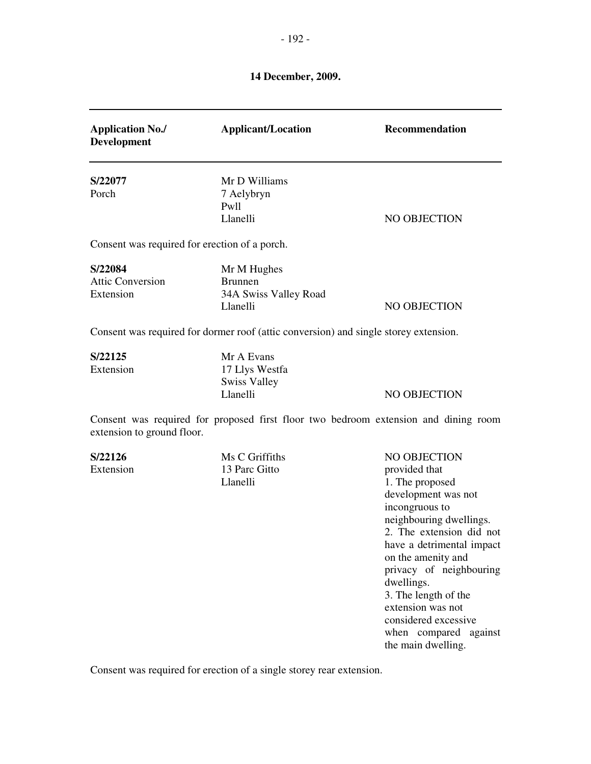| <b>Application No./</b><br><b>Development</b>                                                                     | <b>Applicant/Location</b>                                                            | Recommendation                                                                                                                                                                                                                                                                                                                                                   |  |  |
|-------------------------------------------------------------------------------------------------------------------|--------------------------------------------------------------------------------------|------------------------------------------------------------------------------------------------------------------------------------------------------------------------------------------------------------------------------------------------------------------------------------------------------------------------------------------------------------------|--|--|
| S/22077<br>Porch                                                                                                  | Mr D Williams<br>7 Aelybryn<br>Pwll<br>Llanelli                                      | <b>NO OBJECTION</b>                                                                                                                                                                                                                                                                                                                                              |  |  |
| Consent was required for erection of a porch.                                                                     |                                                                                      |                                                                                                                                                                                                                                                                                                                                                                  |  |  |
| S/22084<br><b>Attic Conversion</b><br>Extension                                                                   | Mr M Hughes<br><b>Brunnen</b><br>34A Swiss Valley Road<br>Llanelli                   | NO OBJECTION                                                                                                                                                                                                                                                                                                                                                     |  |  |
|                                                                                                                   | Consent was required for dormer roof (attic conversion) and single storey extension. |                                                                                                                                                                                                                                                                                                                                                                  |  |  |
| S/22125<br>Extension                                                                                              | Mr A Evans<br>17 Llys Westfa<br><b>Swiss Valley</b><br>Llanelli                      | NO OBJECTION                                                                                                                                                                                                                                                                                                                                                     |  |  |
| Consent was required for proposed first floor two bedroom extension and dining room<br>extension to ground floor. |                                                                                      |                                                                                                                                                                                                                                                                                                                                                                  |  |  |
| S/22126<br>Extension                                                                                              | Ms C Griffiths<br>13 Parc Gitto<br>Llanelli                                          | NO OBJECTION<br>provided that<br>1. The proposed<br>development was not<br>incongruous to<br>neighbouring dwellings.<br>2. The extension did not<br>have a detrimental impact<br>on the amenity and<br>privacy of neighbouring<br>dwellings.<br>3. The length of the<br>extension was not<br>considered excessive<br>when compared against<br>the main dwelling. |  |  |

Consent was required for erection of a single storey rear extension.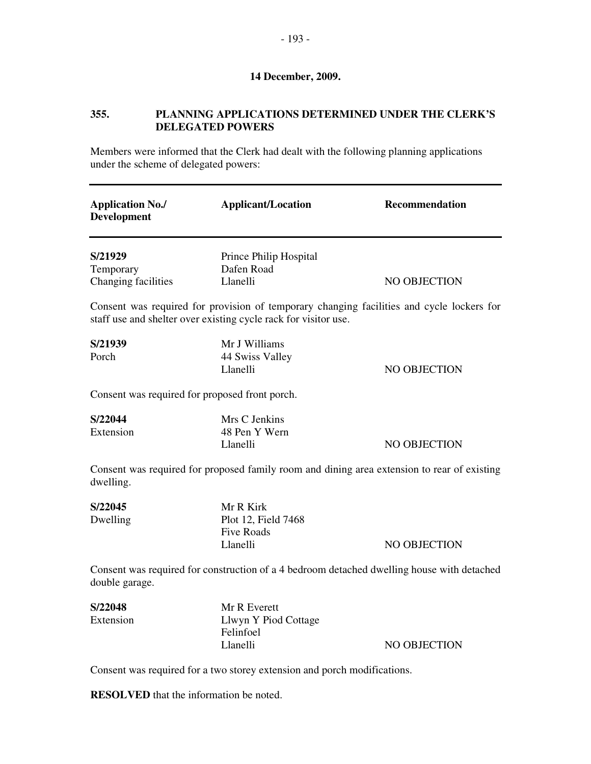# **355. PLANNING APPLICATIONS DETERMINED UNDER THE CLERK'S DELEGATED POWERS**

Members were informed that the Clerk had dealt with the following planning applications under the scheme of delegated powers:

| <b>Application No./</b><br><b>Development</b>                                                                                                                | <b>Applicant/Location</b>                                         | <b>Recommendation</b> |  |  |
|--------------------------------------------------------------------------------------------------------------------------------------------------------------|-------------------------------------------------------------------|-----------------------|--|--|
| S/21929<br>Temporary<br>Changing facilities                                                                                                                  | Prince Philip Hospital<br>Dafen Road<br>Llanelli                  | <b>NO OBJECTION</b>   |  |  |
| Consent was required for provision of temporary changing facilities and cycle lockers for<br>staff use and shelter over existing cycle rack for visitor use. |                                                                   |                       |  |  |
| S/21939<br>Porch                                                                                                                                             | Mr J Williams<br>44 Swiss Valley<br>Llanelli                      | NO OBJECTION          |  |  |
| Consent was required for proposed front porch.                                                                                                               |                                                                   |                       |  |  |
| S/22044<br>Extension                                                                                                                                         | Mrs C Jenkins<br>48 Pen Y Wern<br>Llanelli                        | NO OBJECTION          |  |  |
| Consent was required for proposed family room and dining area extension to rear of existing<br>dwelling.                                                     |                                                                   |                       |  |  |
| S/22045<br>Dwelling                                                                                                                                          | Mr R Kirk<br>Plot 12, Field 7468<br><b>Five Roads</b><br>Llanelli | NO OBJECTION          |  |  |
| Consent was required for construction of a 4 bedroom detached dwelling house with detached<br>double garage.                                                 |                                                                   |                       |  |  |
| S/22048<br>Extension                                                                                                                                         | Mr R Everett<br>Llwyn Y Piod Cottage<br>Felinfoel<br>Llanelli     | NO OBJECTION          |  |  |

Consent was required for a two storey extension and porch modifications.

**RESOLVED** that the information be noted.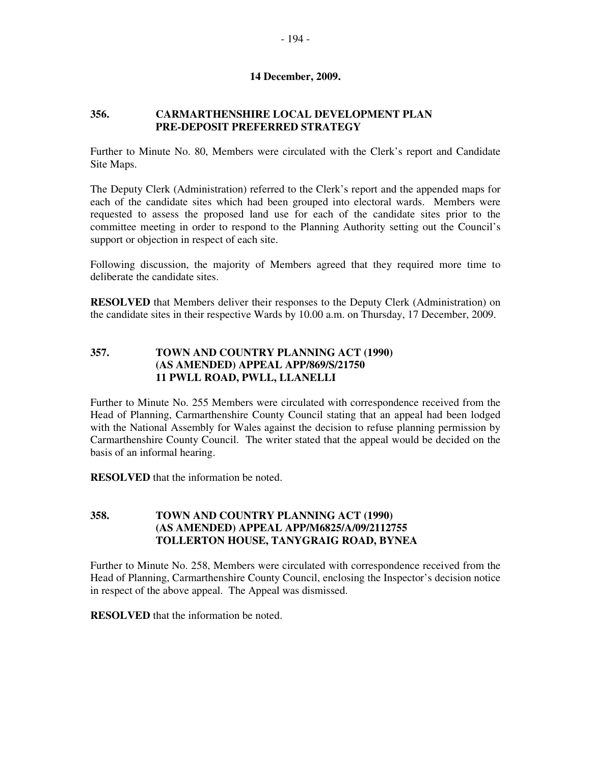### **356. CARMARTHENSHIRE LOCAL DEVELOPMENT PLAN PRE-DEPOSIT PREFERRED STRATEGY**

Further to Minute No. 80, Members were circulated with the Clerk's report and Candidate Site Maps.

The Deputy Clerk (Administration) referred to the Clerk's report and the appended maps for each of the candidate sites which had been grouped into electoral wards. Members were requested to assess the proposed land use for each of the candidate sites prior to the committee meeting in order to respond to the Planning Authority setting out the Council's support or objection in respect of each site.

Following discussion, the majority of Members agreed that they required more time to deliberate the candidate sites.

**RESOLVED** that Members deliver their responses to the Deputy Clerk (Administration) on the candidate sites in their respective Wards by 10.00 a.m. on Thursday, 17 December, 2009.

### **357. TOWN AND COUNTRY PLANNING ACT (1990) (AS AMENDED) APPEAL APP/869/S/21750 11 PWLL ROAD, PWLL, LLANELLI**

Further to Minute No. 255 Members were circulated with correspondence received from the Head of Planning, Carmarthenshire County Council stating that an appeal had been lodged with the National Assembly for Wales against the decision to refuse planning permission by Carmarthenshire County Council. The writer stated that the appeal would be decided on the basis of an informal hearing.

**RESOLVED** that the information be noted.

# **358. TOWN AND COUNTRY PLANNING ACT (1990) (AS AMENDED) APPEAL APP/M6825/A/09/2112755 TOLLERTON HOUSE, TANYGRAIG ROAD, BYNEA**

Further to Minute No. 258, Members were circulated with correspondence received from the Head of Planning, Carmarthenshire County Council, enclosing the Inspector's decision notice in respect of the above appeal. The Appeal was dismissed.

**RESOLVED** that the information be noted.